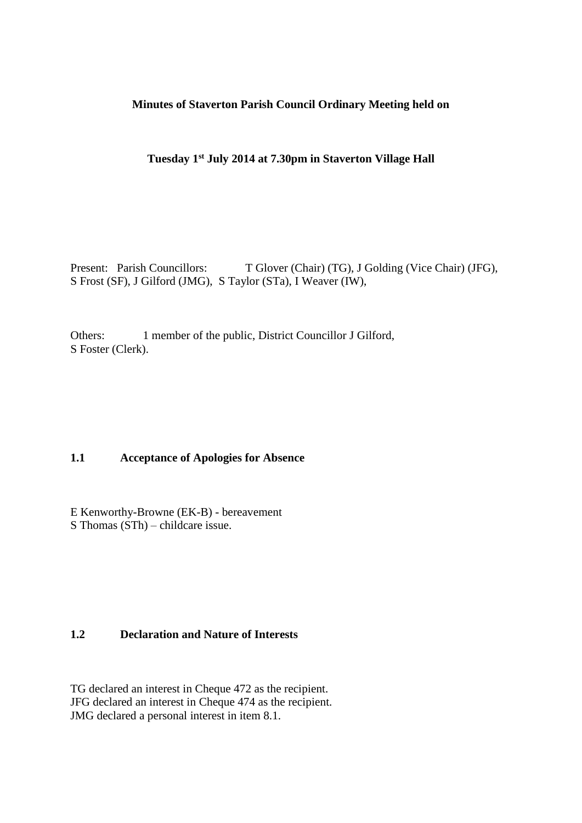#### **Minutes of Staverton Parish Council Ordinary Meeting held on**

### **Tuesday 1st July 2014 at 7.30pm in Staverton Village Hall**

Present: Parish Councillors: T Glover (Chair) (TG), J Golding (Vice Chair) (JFG), S Frost (SF), J Gilford (JMG), S Taylor (STa), I Weaver (IW),

Others: 1 member of the public, District Councillor J Gilford, S Foster (Clerk).

#### **1.1 Acceptance of Apologies for Absence**

E Kenworthy-Browne (EK-B) - bereavement S Thomas (STh) – childcare issue.

#### **1.2 Declaration and Nature of Interests**

TG declared an interest in Cheque 472 as the recipient. JFG declared an interest in Cheque 474 as the recipient. JMG declared a personal interest in item 8.1.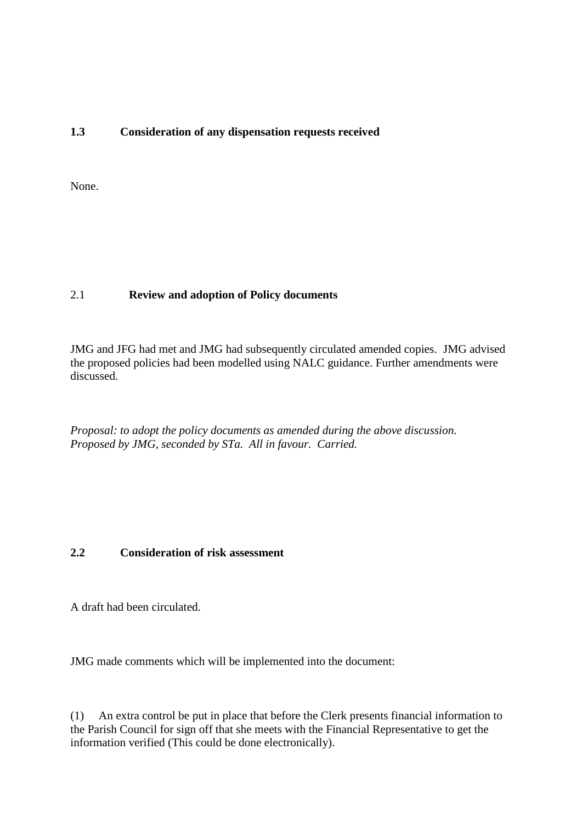### **1.3 Consideration of any dispensation requests received**

None.

## 2.1 **Review and adoption of Policy documents**

JMG and JFG had met and JMG had subsequently circulated amended copies. JMG advised the proposed policies had been modelled using NALC guidance. Further amendments were discussed.

*Proposal: to adopt the policy documents as amended during the above discussion. Proposed by JMG, seconded by STa. All in favour. Carried.*

#### **2.2 Consideration of risk assessment**

A draft had been circulated.

JMG made comments which will be implemented into the document:

(1) An extra control be put in place that before the Clerk presents financial information to the Parish Council for sign off that she meets with the Financial Representative to get the information verified (This could be done electronically).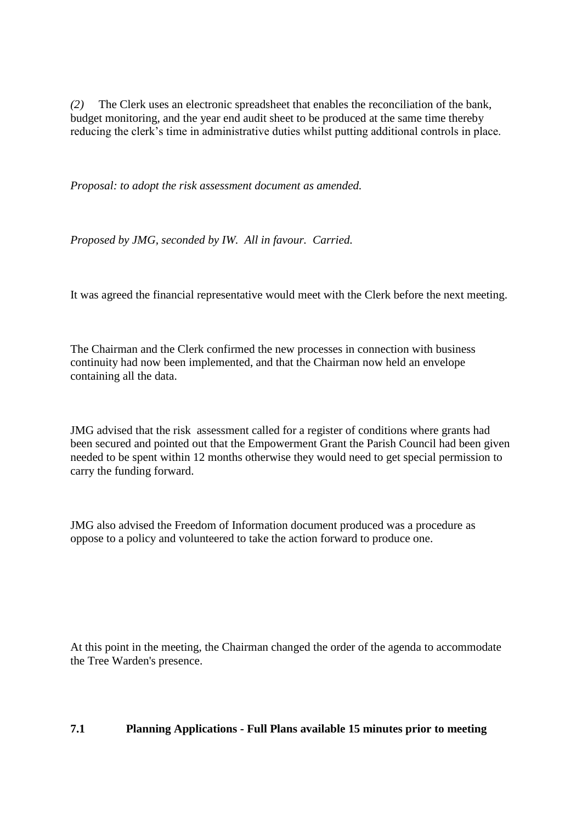*(2)* The Clerk uses an electronic spreadsheet that enables the reconciliation of the bank, budget monitoring, and the year end audit sheet to be produced at the same time thereby reducing the clerk's time in administrative duties whilst putting additional controls in place.

*Proposal: to adopt the risk assessment document as amended.*

*Proposed by JMG, seconded by IW. All in favour. Carried.*

It was agreed the financial representative would meet with the Clerk before the next meeting.

The Chairman and the Clerk confirmed the new processes in connection with business continuity had now been implemented, and that the Chairman now held an envelope containing all the data.

JMG advised that the risk assessment called for a register of conditions where grants had been secured and pointed out that the Empowerment Grant the Parish Council had been given needed to be spent within 12 months otherwise they would need to get special permission to carry the funding forward.

JMG also advised the Freedom of Information document produced was a procedure as oppose to a policy and volunteered to take the action forward to produce one.

At this point in the meeting, the Chairman changed the order of the agenda to accommodate the Tree Warden's presence.

## **7.1 Planning Applications - Full Plans available 15 minutes prior to meeting**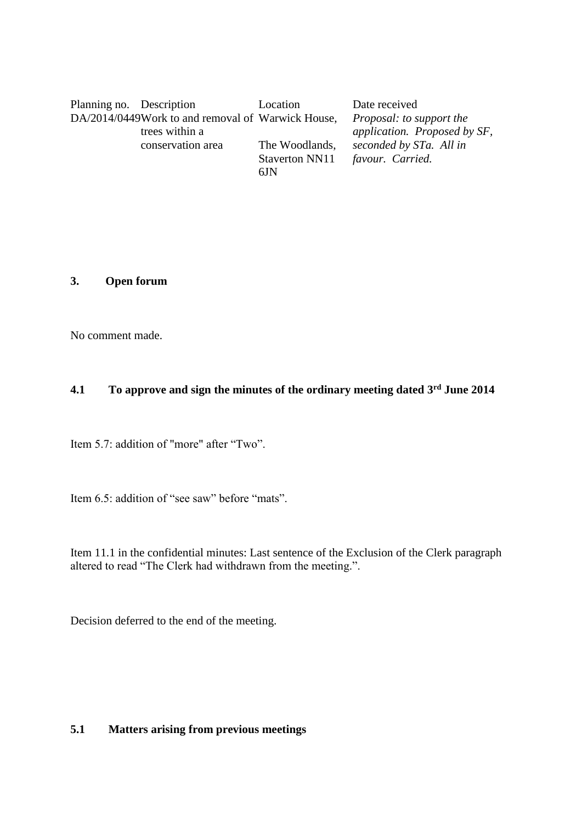| Planning no. Description |                                                   | Location              | Date received                   |
|--------------------------|---------------------------------------------------|-----------------------|---------------------------------|
|                          | DA/2014/0449Work to and removal of Warwick House, |                       | <i>Proposal: to support the</i> |
|                          | trees within a                                    |                       | application. Proposed by SF,    |
|                          | conservation area                                 | The Woodlands,        | seconded by STa. All in         |
|                          |                                                   | <b>Staverton NN11</b> | favour. Carried.                |
|                          |                                                   | 6JN                   |                                 |

#### **3. Open forum**

No comment made.

## **4.1 To approve and sign the minutes of the ordinary meeting dated 3rd June 2014**

Item 5.7: addition of "more" after "Two".

Item 6.5: addition of "see saw" before "mats".

Item 11.1 in the confidential minutes: Last sentence of the Exclusion of the Clerk paragraph altered to read "The Clerk had withdrawn from the meeting.".

Decision deferred to the end of the meeting.

## **5.1 Matters arising from previous meetings**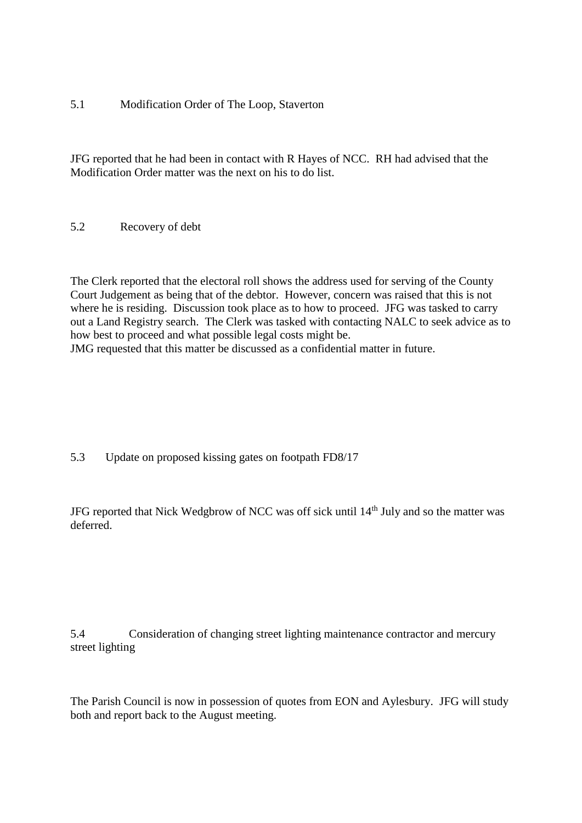#### 5.1 Modification Order of The Loop, Staverton

JFG reported that he had been in contact with R Hayes of NCC. RH had advised that the Modification Order matter was the next on his to do list.

### 5.2 Recovery of debt

The Clerk reported that the electoral roll shows the address used for serving of the County Court Judgement as being that of the debtor. However, concern was raised that this is not where he is residing. Discussion took place as to how to proceed. JFG was tasked to carry out a Land Registry search. The Clerk was tasked with contacting NALC to seek advice as to how best to proceed and what possible legal costs might be. JMG requested that this matter be discussed as a confidential matter in future.

## 5.3 Update on proposed kissing gates on footpath FD8/17

JFG reported that Nick Wedgbrow of NCC was off sick until 14<sup>th</sup> July and so the matter was deferred.

5.4 Consideration of changing street lighting maintenance contractor and mercury street lighting

The Parish Council is now in possession of quotes from EON and Aylesbury. JFG will study both and report back to the August meeting.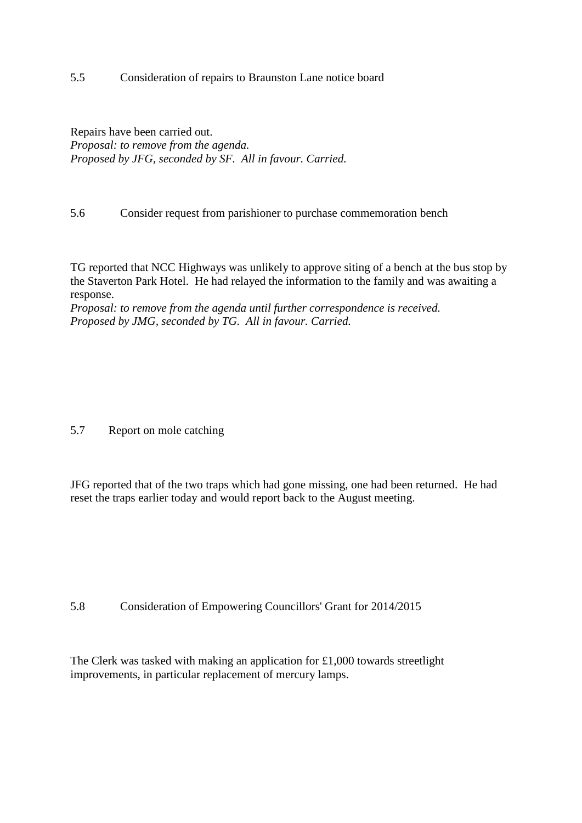#### 5.5 Consideration of repairs to Braunston Lane notice board

Repairs have been carried out. *Proposal: to remove from the agenda. Proposed by JFG, seconded by SF. All in favour. Carried.*

5.6 Consider request from parishioner to purchase commemoration bench

TG reported that NCC Highways was unlikely to approve siting of a bench at the bus stop by the Staverton Park Hotel. He had relayed the information to the family and was awaiting a response.

*Proposal: to remove from the agenda until further correspondence is received. Proposed by JMG, seconded by TG. All in favour. Carried.*

#### 5.7 Report on mole catching

JFG reported that of the two traps which had gone missing, one had been returned. He had reset the traps earlier today and would report back to the August meeting.

5.8 Consideration of Empowering Councillors' Grant for 2014/2015

The Clerk was tasked with making an application for £1,000 towards streetlight improvements, in particular replacement of mercury lamps.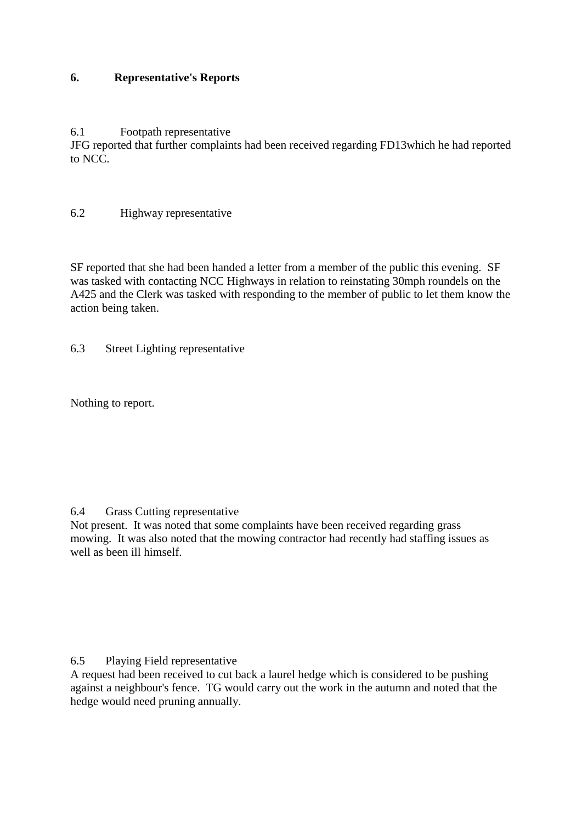## **6. Representative's Reports**

### 6.1 Footpath representative

JFG reported that further complaints had been received regarding FD13which he had reported to NCC.

### 6.2 Highway representative

SF reported that she had been handed a letter from a member of the public this evening. SF was tasked with contacting NCC Highways in relation to reinstating 30mph roundels on the A425 and the Clerk was tasked with responding to the member of public to let them know the action being taken.

6.3 Street Lighting representative

Nothing to report.

## 6.4 Grass Cutting representative

Not present. It was noted that some complaints have been received regarding grass mowing. It was also noted that the mowing contractor had recently had staffing issues as well as been ill himself.

#### 6.5 Playing Field representative

A request had been received to cut back a laurel hedge which is considered to be pushing against a neighbour's fence. TG would carry out the work in the autumn and noted that the hedge would need pruning annually.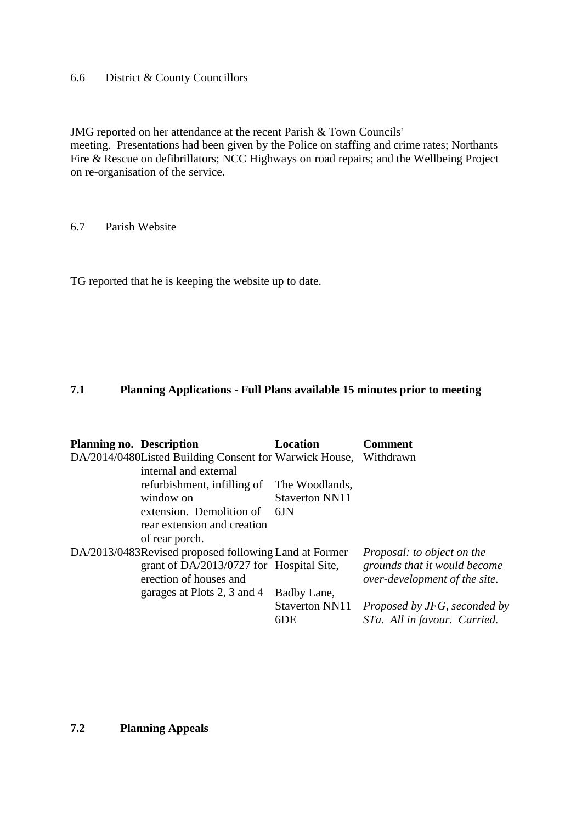#### 6.6 District & County Councillors

JMG reported on her attendance at the recent Parish & Town Councils' meeting. Presentations had been given by the Police on staffing and crime rates; Northants Fire & Rescue on defibrillators; NCC Highways on road repairs; and the Wellbeing Project on re-organisation of the service.

6.7 Parish Website

TG reported that he is keeping the website up to date.

### **7.1 Planning Applications - Full Plans available 15 minutes prior to meeting**

| <b>Planning no. Description</b> |                                                        | Location              | <b>Comment</b>                    |
|---------------------------------|--------------------------------------------------------|-----------------------|-----------------------------------|
|                                 | DA/2014/0480Listed Building Consent for Warwick House, |                       | Withdrawn                         |
|                                 | internal and external                                  |                       |                                   |
|                                 | refurbishment, infilling of                            | The Woodlands,        |                                   |
|                                 | window on                                              | <b>Staverton NN11</b> |                                   |
|                                 | extension. Demolition of                               | 6JN                   |                                   |
|                                 | rear extension and creation                            |                       |                                   |
|                                 | of rear porch.                                         |                       |                                   |
|                                 | DA/2013/0483Revised proposed following Land at Former  |                       | <i>Proposal: to object on the</i> |
|                                 | grant of DA/2013/0727 for Hospital Site,               |                       | grounds that it would become      |
|                                 | erection of houses and                                 |                       | over-development of the site.     |
|                                 | garages at Plots 2, 3 and 4                            | Badby Lane,           |                                   |
|                                 |                                                        | <b>Staverton NN11</b> | Proposed by JFG, seconded by      |
|                                 |                                                        | 6DE                   | STa. All in favour. Carried.      |

#### **7.2 Planning Appeals**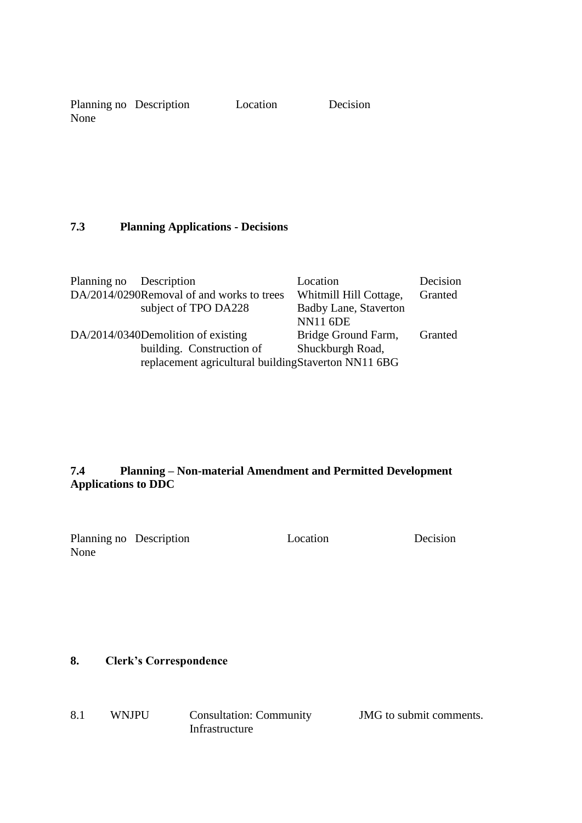Planning no Description Location Decision None

## **7.3 Planning Applications - Decisions**

| Planning no Description                             |                                           | Location                     | Decision |  |
|-----------------------------------------------------|-------------------------------------------|------------------------------|----------|--|
|                                                     | DA/2014/0290Removal of and works to trees | Whitmill Hill Cottage,       | Granted  |  |
|                                                     | subject of TPO DA228                      | <b>Badby Lane, Staverton</b> |          |  |
|                                                     |                                           | <b>NN11 6DE</b>              |          |  |
|                                                     | DA/2014/0340Demolition of existing        | Bridge Ground Farm,          | Granted  |  |
|                                                     | building. Construction of                 | Shuckburgh Road,             |          |  |
| replacement agricultural buildingStaverton NN11 6BG |                                           |                              |          |  |

## **7.4 Planning – Non-material Amendment and Permitted Development Applications to DDC**

Planning no Description Location Location Decision None

## **8. Clerk's Correspondence**

8.1 WNJPU Consultation: Community Infrastructure

JMG to submit comments.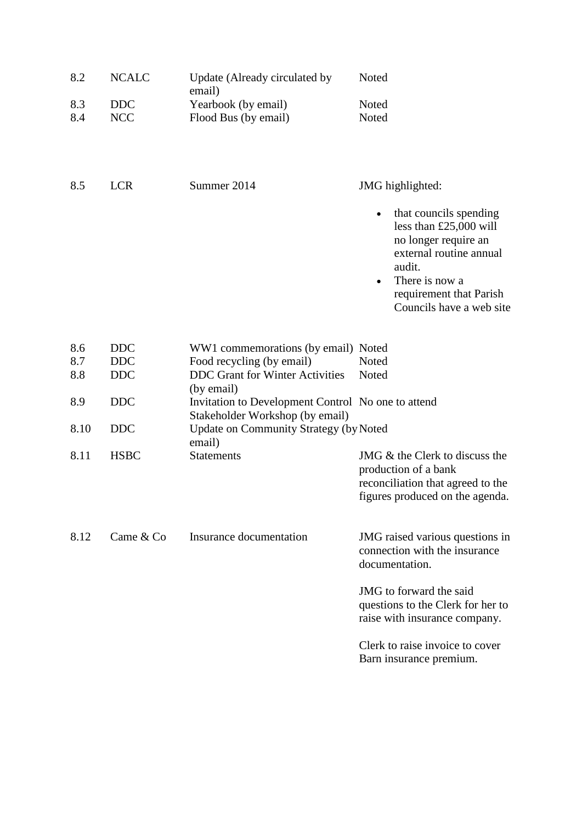| 8.2<br>8.3<br>8.4                        | <b>NCALC</b><br><b>DDC</b><br><b>NCC</b>                                          | Update (Already circulated by<br>email)<br>Yearbook (by email)<br>Flood Bus (by email)                                                                                                                                                                                                            | Noted<br>Noted<br>Noted                                                                                                                                                                                                                           |
|------------------------------------------|-----------------------------------------------------------------------------------|---------------------------------------------------------------------------------------------------------------------------------------------------------------------------------------------------------------------------------------------------------------------------------------------------|---------------------------------------------------------------------------------------------------------------------------------------------------------------------------------------------------------------------------------------------------|
| 8.5                                      | <b>LCR</b>                                                                        | Summer 2014                                                                                                                                                                                                                                                                                       | JMG highlighted:<br>that councils spending<br>less than $£25,000$ will<br>no longer require an<br>external routine annual<br>audit.<br>There is now a<br>requirement that Parish<br>Councils have a web site                                      |
| 8.6<br>8.7<br>8.8<br>8.9<br>8.10<br>8.11 | <b>DDC</b><br><b>DDC</b><br><b>DDC</b><br><b>DDC</b><br><b>DDC</b><br><b>HSBC</b> | WW1 commemorations (by email) Noted<br>Food recycling (by email)<br><b>DDC</b> Grant for Winter Activities<br>(by email)<br>Invitation to Development Control No one to attend<br>Stakeholder Workshop (by email)<br><b>Update on Community Strategy (by Noted</b><br>email)<br><b>Statements</b> | Noted<br>Noted<br>JMG & the Clerk to discuss the<br>production of a bank<br>reconciliation that agreed to the<br>figures produced on the agenda.                                                                                                  |
| 8.12                                     | Came & Co                                                                         | Insurance documentation                                                                                                                                                                                                                                                                           | JMG raised various questions in<br>connection with the insurance<br>documentation.<br>JMG to forward the said<br>questions to the Clerk for her to<br>raise with insurance company.<br>Clerk to raise invoice to cover<br>Barn insurance premium. |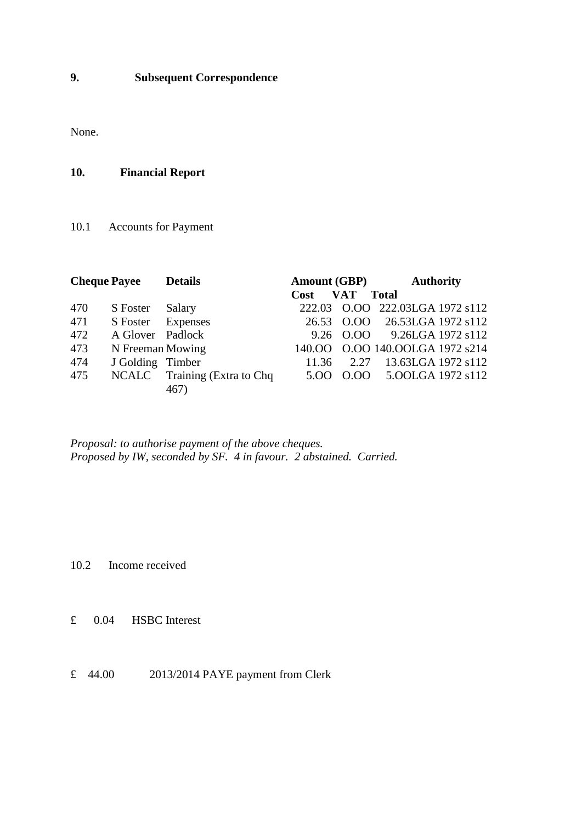## **9. Subsequent Correspondence**

None.

## **10. Financial Report**

## 10.1 Accounts for Payment

| <b>Cheque Payee</b> |                  | <b>Details</b>         | <b>Amount (GBP)</b> | <b>VAT</b> | <b>Authority</b>                |
|---------------------|------------------|------------------------|---------------------|------------|---------------------------------|
|                     |                  |                        | Cost                |            | Total                           |
| 470                 | S Foster         | Salary                 | 222.03              |            | O.OO 222.03LGA 1972 s112        |
| 471                 | S Foster         | Expenses               | 26.53               | 0.00       | 26.53LGA 1972 s112              |
| 472                 | A Glover Padlock |                        |                     | 9.26 0.00  | 9.26LGA 1972 s112               |
| 473                 | N Freeman Mowing |                        |                     |            | 140.00 0.00 140.00LGA 1972 s214 |
| 474                 | J Golding Timber |                        | 11.36               | 2.27       | 13.63LGA 1972 s112              |
| 475                 | <b>NCALC</b>     | Training (Extra to Chq | 5.00                | 0.00       | 5.00LGA 1972 s112               |
|                     |                  | 467)                   |                     |            |                                 |

*Proposal: to authorise payment of the above cheques. Proposed by IW, seconded by SF. 4 in favour. 2 abstained. Carried.*

10.2 Income received

£ 0.04 HSBC Interest

## £ 44.00 2013/2014 PAYE payment from Clerk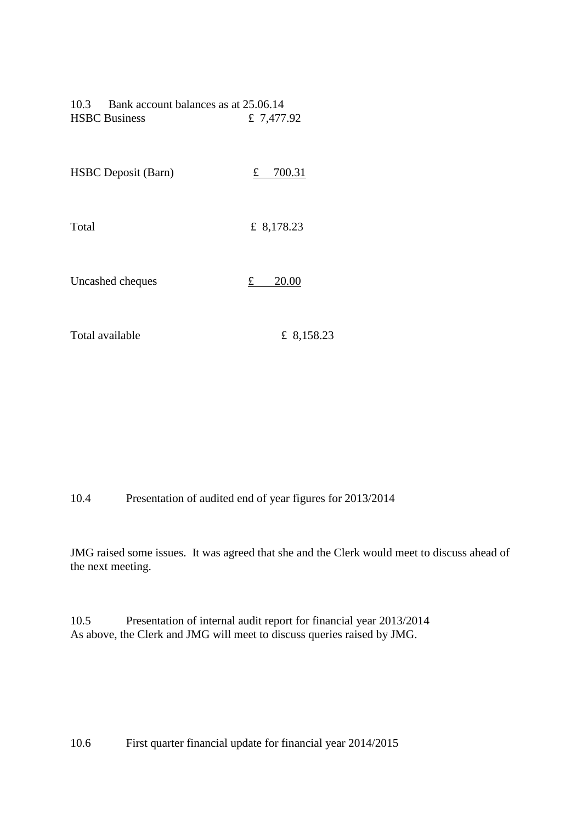| 10.3 Bank account balances as at 25.06.14 |            |
|-------------------------------------------|------------|
| <b>HSBC</b> Business                      | £ 7,477.92 |

| £ 8,178.23<br>Total | <b>HSBC</b> Deposit (Barn) | 700.31 |
|---------------------|----------------------------|--------|
|                     |                            |        |

Uncashed cheques  $\qquad \qquad \frac{\varepsilon}{20.00}$ 

| Total available | £ 8,158.23 |
|-----------------|------------|
|-----------------|------------|

10.4 Presentation of audited end of year figures for 2013/2014

JMG raised some issues. It was agreed that she and the Clerk would meet to discuss ahead of the next meeting.

10.5 Presentation of internal audit report for financial year 2013/2014 As above, the Clerk and JMG will meet to discuss queries raised by JMG.

10.6 First quarter financial update for financial year 2014/2015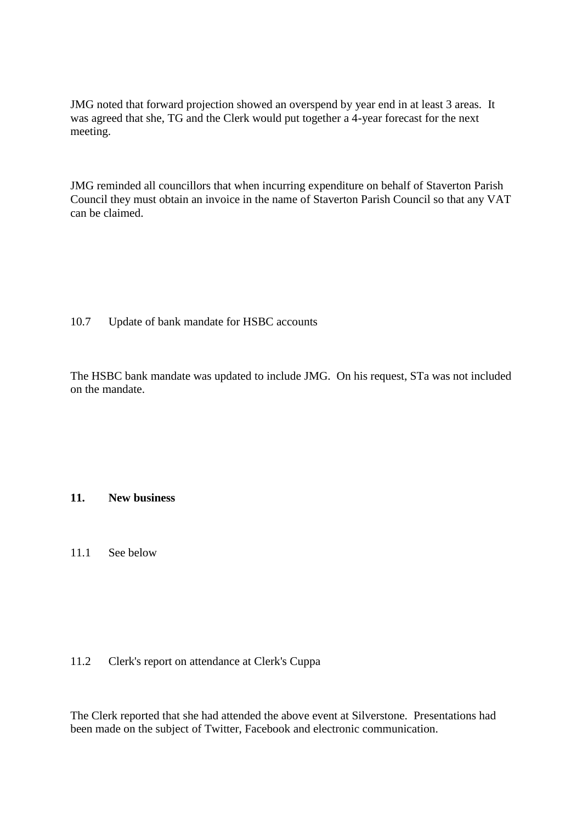JMG noted that forward projection showed an overspend by year end in at least 3 areas. It was agreed that she, TG and the Clerk would put together a 4-year forecast for the next meeting.

JMG reminded all councillors that when incurring expenditure on behalf of Staverton Parish Council they must obtain an invoice in the name of Staverton Parish Council so that any VAT can be claimed.

### 10.7 Update of bank mandate for HSBC accounts

The HSBC bank mandate was updated to include JMG. On his request, STa was not included on the mandate.

#### **11. New business**

11.1 See below

#### 11.2 Clerk's report on attendance at Clerk's Cuppa

The Clerk reported that she had attended the above event at Silverstone. Presentations had been made on the subject of Twitter, Facebook and electronic communication.